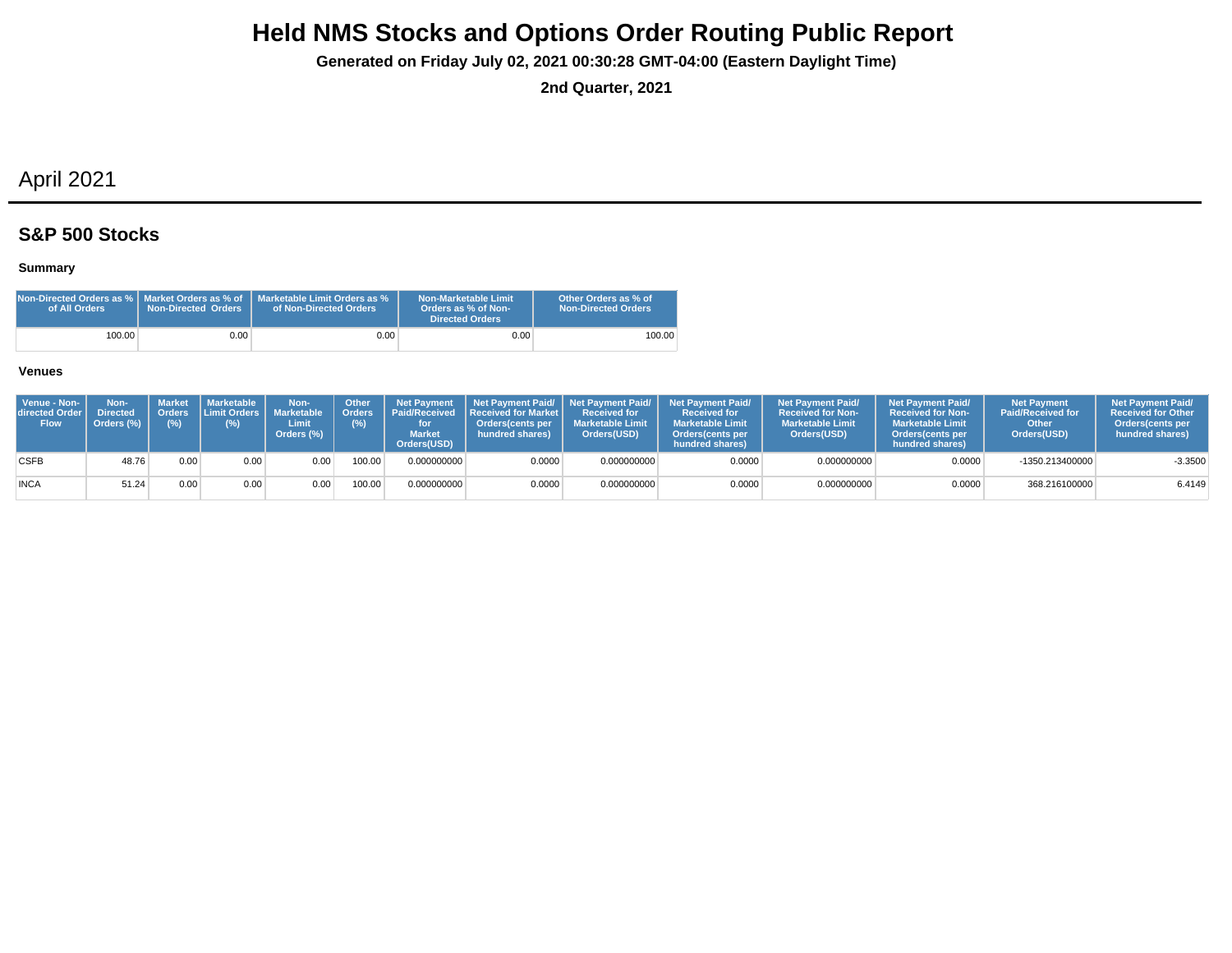**Generated on Friday July 02, 2021 00:30:28 GMT-04:00 (Eastern Daylight Time)**

**2nd Quarter, 2021**

## April 2021

## **S&P 500 Stocks**

### **Summary**

| Non-Directed Orders as %   Market Orders as % of<br>of All Orders | <b>Non-Directed Orders</b> | Marketable Limit Orders as %<br>of Non-Directed Orders | Non-Marketable Limit<br>Orders as % of Non-<br>Directed Orders | Other Orders as % of<br><b>Non-Directed Orders</b> |
|-------------------------------------------------------------------|----------------------------|--------------------------------------------------------|----------------------------------------------------------------|----------------------------------------------------|
| 100.00                                                            | 9.00 <sub>1</sub>          | $0.00\,$                                               | 0.00                                                           | 100.00                                             |

| Venue - Non-<br><b>directed Order I</b><br><b>Flow</b> | Non-<br><b>Directed</b><br>Orders (%) | Market<br><b>Orders</b><br>(%) | <b>Marketable</b><br>$(\%)$ | Non-<br>Limit Orders   Marketable<br>Limit<br>Orders (%) | <b>Other</b><br><b>Orders</b><br>(%) | <b>Market</b><br>Orders(USD) | Net Payment   Net Payment Paid/   Net Payment Paid/<br>Received Received Received for Market<br>Orders(cents per<br>hundred shares) | <b>Received for</b><br><b>Marketable Limit</b><br>Orders(USD) | <b>Net Payment Paid/</b><br><b>Received for</b><br><b>Marketable Limit</b><br>Orders(cents per<br>hundred shares) | <b>Net Payment Paid/</b><br><b>Received for Non-</b><br><b>Marketable Limit</b><br>Orders(USD) | <b>Net Payment Paid/</b><br><b>Received for Non-</b><br><b>Marketable Limit</b><br><b>Orders</b> (cents per<br>hundred shares) | <b>Net Payment</b><br><b>Paid/Received for</b><br>Other<br>Orders(USD) | <b>Net Payment Paid/</b><br><b>Received for Other</b><br><b>Orders</b> (cents per<br>hundred shares) |
|--------------------------------------------------------|---------------------------------------|--------------------------------|-----------------------------|----------------------------------------------------------|--------------------------------------|------------------------------|-------------------------------------------------------------------------------------------------------------------------------------|---------------------------------------------------------------|-------------------------------------------------------------------------------------------------------------------|------------------------------------------------------------------------------------------------|--------------------------------------------------------------------------------------------------------------------------------|------------------------------------------------------------------------|------------------------------------------------------------------------------------------------------|
| <b>CSFB</b>                                            | 48.76                                 | 0.00 <sub>1</sub>              | 0.00                        | 0.00                                                     | 100.00                               | 0.000000000                  | 0.0000                                                                                                                              | 0.000000000                                                   | 0.0000                                                                                                            | 0.000000000                                                                                    | 0.0000                                                                                                                         | -1350.213400000                                                        | $-3.3500$                                                                                            |
| <b>INCA</b>                                            | 51.24                                 | 0.00.                          | 0.00                        | 0.00                                                     | 100.00                               | 0.000000000                  | 0.0000                                                                                                                              | 0.000000000                                                   | 0.0000                                                                                                            | 0.000000000                                                                                    | 0.0000                                                                                                                         | 368.216100000                                                          | 6.4149                                                                                               |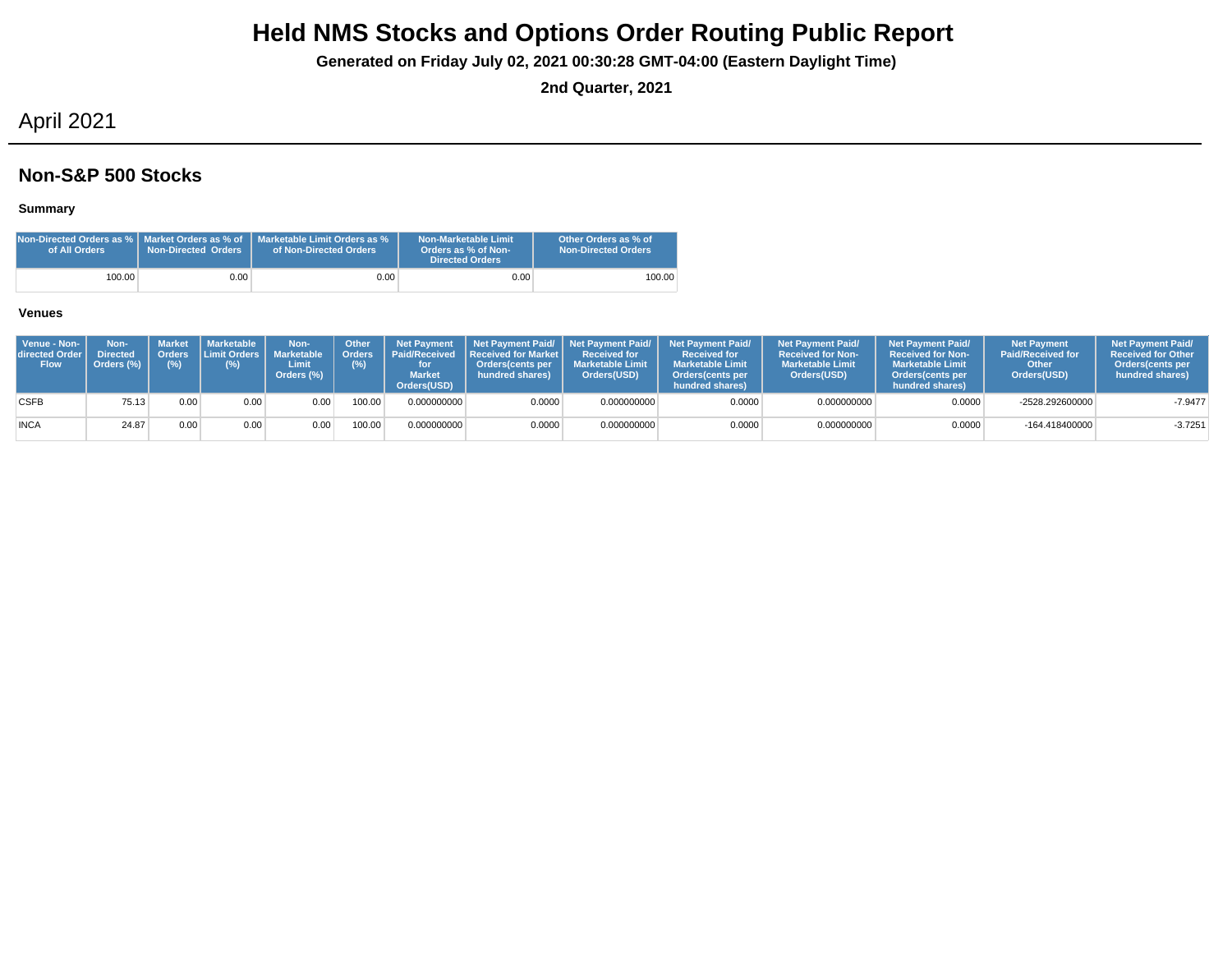**Generated on Friday July 02, 2021 00:30:28 GMT-04:00 (Eastern Daylight Time)**

**2nd Quarter, 2021**

## April 2021

### **Non-S&P 500 Stocks**

### **Summary**

| of All Orders | <b>Non-Directed Orders</b> | <b>Non-Directed Orders as %   Market Orders as % of   Marketable Limit Orders as %</b><br>of Non-Directed Orders | Non-Marketable Limit<br>Orders as % of Non-<br><b>Directed Orders</b> | Other Orders as % of<br><b>Non-Directed Orders</b> |
|---------------|----------------------------|------------------------------------------------------------------------------------------------------------------|-----------------------------------------------------------------------|----------------------------------------------------|
| 100.00        | 0.00                       | $0.00\,$                                                                                                         | 0.00                                                                  | 100.00                                             |

| Venue - Non-<br>directed Order<br><b>Flow</b> | Non-<br><b>Directed</b><br>Orders (%) | (%)  | Market Marketable<br>Orders Limit Orders L<br>(%) | Non-<br><b>Marketable</b><br>Limit<br>Orders (%) | <b>Other</b><br><b>Orders</b><br>$(\%)$ | <b>Net Payment</b><br><b>Market</b><br>Orders(USD) | <b>Paid/Received Received for Market  </b><br>Orders(cents per<br>hundred shares) | <b>Received for</b><br><b>Marketable Limit</b><br>Orders(USD) | Net Payment Paid/ Net Payment Paid/ Net Payment Paid/<br><b>Received for</b><br><b>Marketable Limit</b><br>Orders(cents per<br>hundred shares) | <b>Net Payment Paid/</b><br><b>Received for Non-</b><br><b>Marketable Limit</b><br>Orders(USD) | <b>Net Payment Paid/</b><br><b>Received for Non-</b><br><b>Marketable Limit</b><br>Orders(cents per<br>hundred shares) | <b>Net Payment</b><br><b>Paid/Received for</b><br>Other<br>Orders(USD) | <b>Net Payment Paid/</b><br><b>Received for Other</b><br><b>Orders</b> (cents per<br>hundred shares) |
|-----------------------------------------------|---------------------------------------|------|---------------------------------------------------|--------------------------------------------------|-----------------------------------------|----------------------------------------------------|-----------------------------------------------------------------------------------|---------------------------------------------------------------|------------------------------------------------------------------------------------------------------------------------------------------------|------------------------------------------------------------------------------------------------|------------------------------------------------------------------------------------------------------------------------|------------------------------------------------------------------------|------------------------------------------------------------------------------------------------------|
| <b>CSFB</b>                                   | 75.13                                 | 0.00 | 0.00                                              | 0.00                                             | 100.00                                  | 0.000000000                                        | 0.0000                                                                            | 0.000000000                                                   | 0.0000                                                                                                                                         | 0.000000000                                                                                    | 0.0000                                                                                                                 | -2528.292600000                                                        | $-7.9477$                                                                                            |
| <b>INCA</b>                                   | 24.87                                 | 0.00 | 0.00                                              | 0.00                                             | 100.00                                  | 0.000000000                                        | 0.0000                                                                            | 0.000000000                                                   | 0.0000                                                                                                                                         | 0.000000000                                                                                    | 0.0000                                                                                                                 | -164.418400000                                                         | $-3.7251$                                                                                            |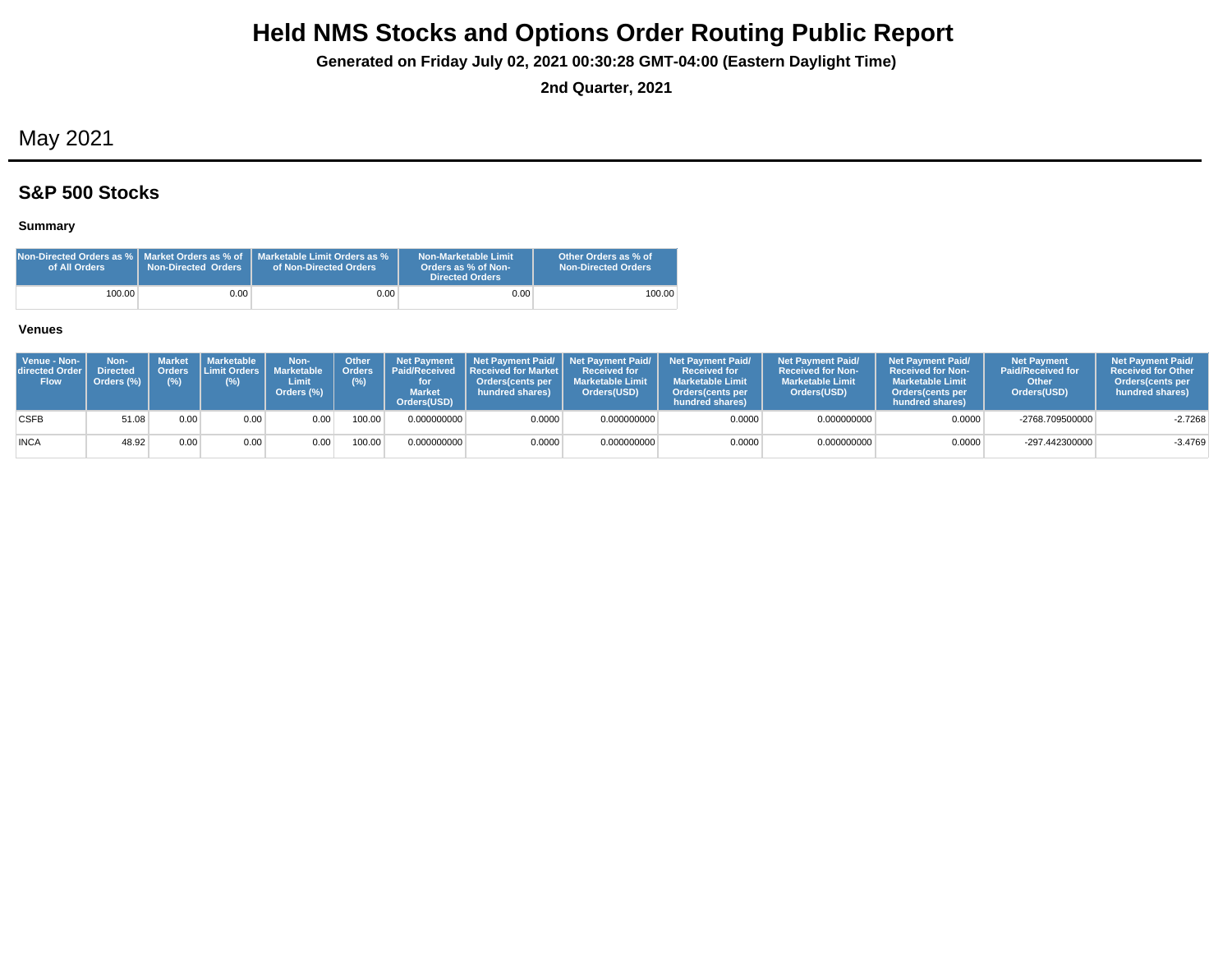**Generated on Friday July 02, 2021 00:30:28 GMT-04:00 (Eastern Daylight Time)**

**2nd Quarter, 2021**

## May 2021

## **S&P 500 Stocks**

### **Summary**

| Non-Directed Orders as %   Market Orders as % of<br>of All Orders | Non-Directed Orders | Marketable Limit Orders as %<br>of Non-Directed Orders | Non-Marketable Limit<br>Orders as % of Non-<br><b>Directed Orders</b> | Other Orders as % of<br><b>Non-Directed Orders</b> |
|-------------------------------------------------------------------|---------------------|--------------------------------------------------------|-----------------------------------------------------------------------|----------------------------------------------------|
| 100.00                                                            | 0.001               | 0.001                                                  | 0.00                                                                  | 100.00                                             |

| Venue - Non-<br>directed Order<br><b>Flow</b> | Non-<br><b>Directed</b><br>Orders (%) | <b>Market</b><br>(%) | <b>I</b> Marketable I<br>Orders Limit Orders I<br>(%) | Non-<br><b>Marketable</b><br>Limit<br>Orders (%) | Other<br>(%) | <b>Net Payment</b><br>Orders   Paid/Received<br><b>Market</b><br>Orders(USD) | <b>Received for Market L</b><br>Orders(cents per<br>hundred shares) | Received for<br><b>Marketable Limit</b><br>Orders(USD) | Net Payment Paid/ Net Payment Paid/ Net Payment Paid/<br><b>Received for</b><br><b>Marketable Limit</b><br><b>Orders</b> (cents per<br>hundred shares) | <b>Net Payment Paid/</b><br><b>Received for Non-</b><br><b>Marketable Limit</b><br>Orders(USD) | <b>Net Payment Paid/</b><br>Received for Non-<br><b>Marketable Limit</b><br><b>Orders</b> (cents per<br>hundred shares) | <b>Net Payment</b><br><b>Paid/Received for</b><br>Other<br>Orders(USD) | <b>Net Payment Paid/</b><br><b>Received for Other</b><br><b>Orders</b> (cents per<br>hundred shares) |
|-----------------------------------------------|---------------------------------------|----------------------|-------------------------------------------------------|--------------------------------------------------|--------------|------------------------------------------------------------------------------|---------------------------------------------------------------------|--------------------------------------------------------|--------------------------------------------------------------------------------------------------------------------------------------------------------|------------------------------------------------------------------------------------------------|-------------------------------------------------------------------------------------------------------------------------|------------------------------------------------------------------------|------------------------------------------------------------------------------------------------------|
| <b>CSFB</b>                                   | 51.08                                 | 0.00                 | 0.00                                                  | 0.00                                             | 100.00       | 0.000000000                                                                  | 0.0000                                                              | 0.000000000                                            | 0.0000                                                                                                                                                 | 0.000000000                                                                                    | 0.0000                                                                                                                  | -2768.709500000                                                        | $-2.7268$                                                                                            |
| <b>INCA</b>                                   | 48.92                                 | 0.00                 | 0.00                                                  | 0.00                                             | 100.00       | 0.000000000                                                                  | 0.0000                                                              | 0.000000000                                            | 0.0000                                                                                                                                                 | 0.000000000                                                                                    | 0.0000                                                                                                                  | -297.442300000                                                         | $-3.4769$                                                                                            |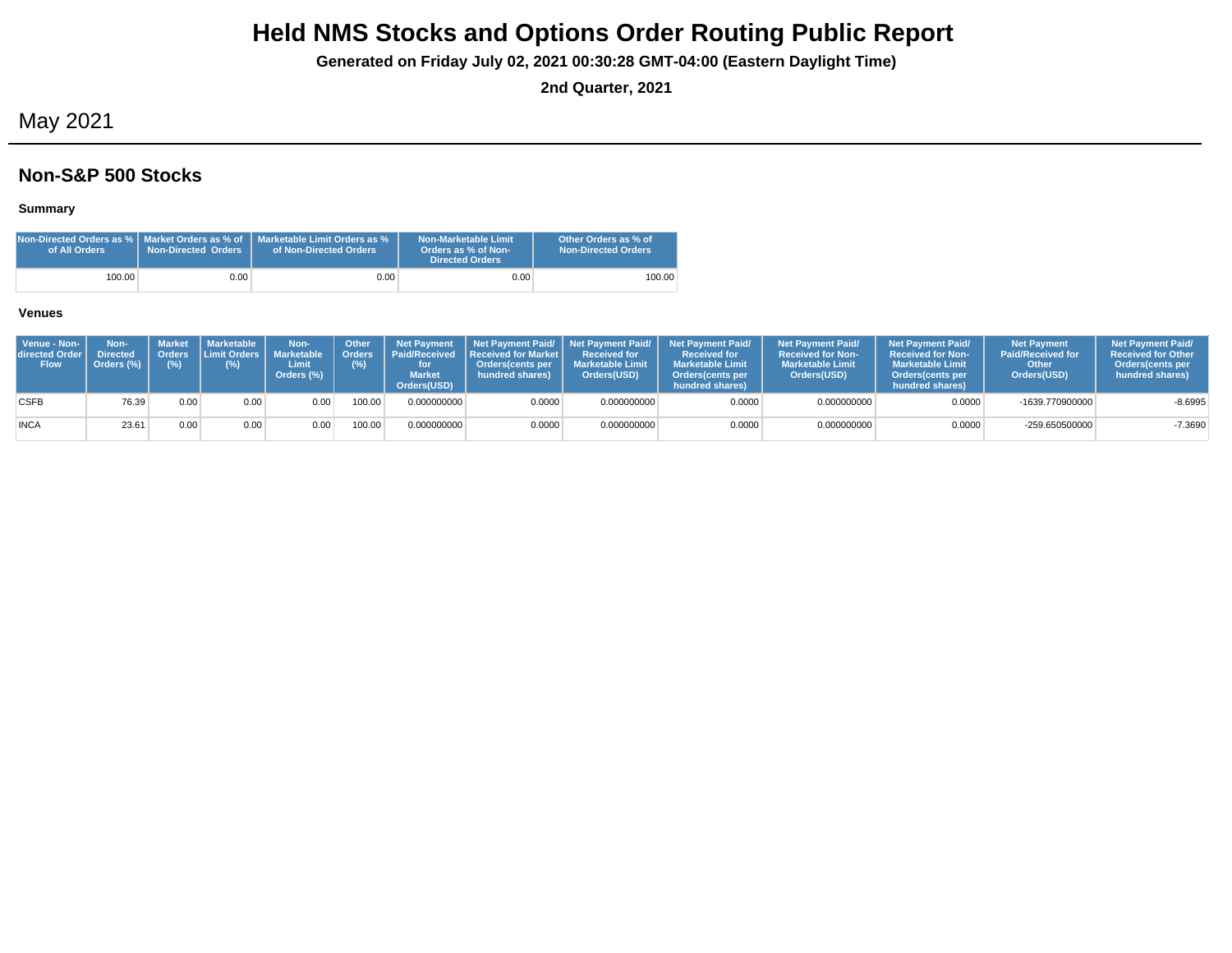**Generated on Friday July 02, 2021 00:30:28 GMT-04:00 (Eastern Daylight Time)**

**2nd Quarter, 2021**

## May 2021

### **Non-S&P 500 Stocks**

### **Summary**

| of All Orders | <b>Non-Directed Orders</b> | <b>Non-Directed Orders as %   Market Orders as % of   Marketable Limit Orders as %</b><br>of Non-Directed Orders | Non-Marketable Limit<br>Orders as % of Non-<br><b>Directed Orders</b> | Other Orders as % of<br><b>Non-Directed Orders</b> |
|---------------|----------------------------|------------------------------------------------------------------------------------------------------------------|-----------------------------------------------------------------------|----------------------------------------------------|
| 100.00        | 0.00                       | $0.00\,$                                                                                                         | 0.00                                                                  | 100.00                                             |

| Venue - Non-<br>directed Order I<br><b>Flow</b> | Non-<br><b>Directed</b><br>Orders (%) | Orders<br>$(\%)$ | Market   Marketable<br><b>ILimit Orders I</b><br>(%) | Non-<br><b>Marketable</b><br>Limit<br>Orders (%) | <b>Other</b><br>Orders <sup>'</sup><br>(%) | <b>Net Payment</b><br><b>Market</b><br>Orders(USD) | Paid/Received Received for Market I<br><b>Orders</b> (cents per<br>hundred shares) | <b>Received for</b><br><b>Marketable Limit</b><br>Orders(USD) | Net Payment Paid/ Net Payment Paid/ Net Payment Paid/<br><b>Received for</b><br><b>Marketable Limit</b><br>Orders (cents per<br>hundred shares) | <b>Net Payment Paid/</b><br><b>Received for Non-</b><br><b>Marketable Limit</b><br>Orders(USD) | <b>Net Payment Paid/</b><br><b>Received for Non-</b><br><b>Marketable Limit</b><br><b>Orders</b> (cents per<br>hundred shares) | <b>Net Payment</b><br><b>Paid/Received for</b><br>Other<br>Orders(USD) | <b>Net Payment Paid/</b><br><b>Received for Other</b><br>Orders (cents per<br>hundred shares) |
|-------------------------------------------------|---------------------------------------|------------------|------------------------------------------------------|--------------------------------------------------|--------------------------------------------|----------------------------------------------------|------------------------------------------------------------------------------------|---------------------------------------------------------------|-------------------------------------------------------------------------------------------------------------------------------------------------|------------------------------------------------------------------------------------------------|--------------------------------------------------------------------------------------------------------------------------------|------------------------------------------------------------------------|-----------------------------------------------------------------------------------------------|
| <b>CSFB</b>                                     | 76.39                                 | 0.00             | 0.00                                                 | 0.00                                             | 100.00                                     | 0.000000000                                        | 0.0000                                                                             | 0.000000000                                                   | 0.0000                                                                                                                                          | 0.000000000                                                                                    | 0.0000                                                                                                                         | -1639.770900000                                                        | $-8.6995$                                                                                     |
| <b>INCA</b>                                     | 23.61                                 | 0.00             | 0.00                                                 | 0.00                                             | 100.00                                     | 0.000000000                                        | 0.0000                                                                             | 0.000000000                                                   | 0.0000                                                                                                                                          | 0.000000000                                                                                    | 0.0000                                                                                                                         | -259.650500000                                                         | $-7.3690$                                                                                     |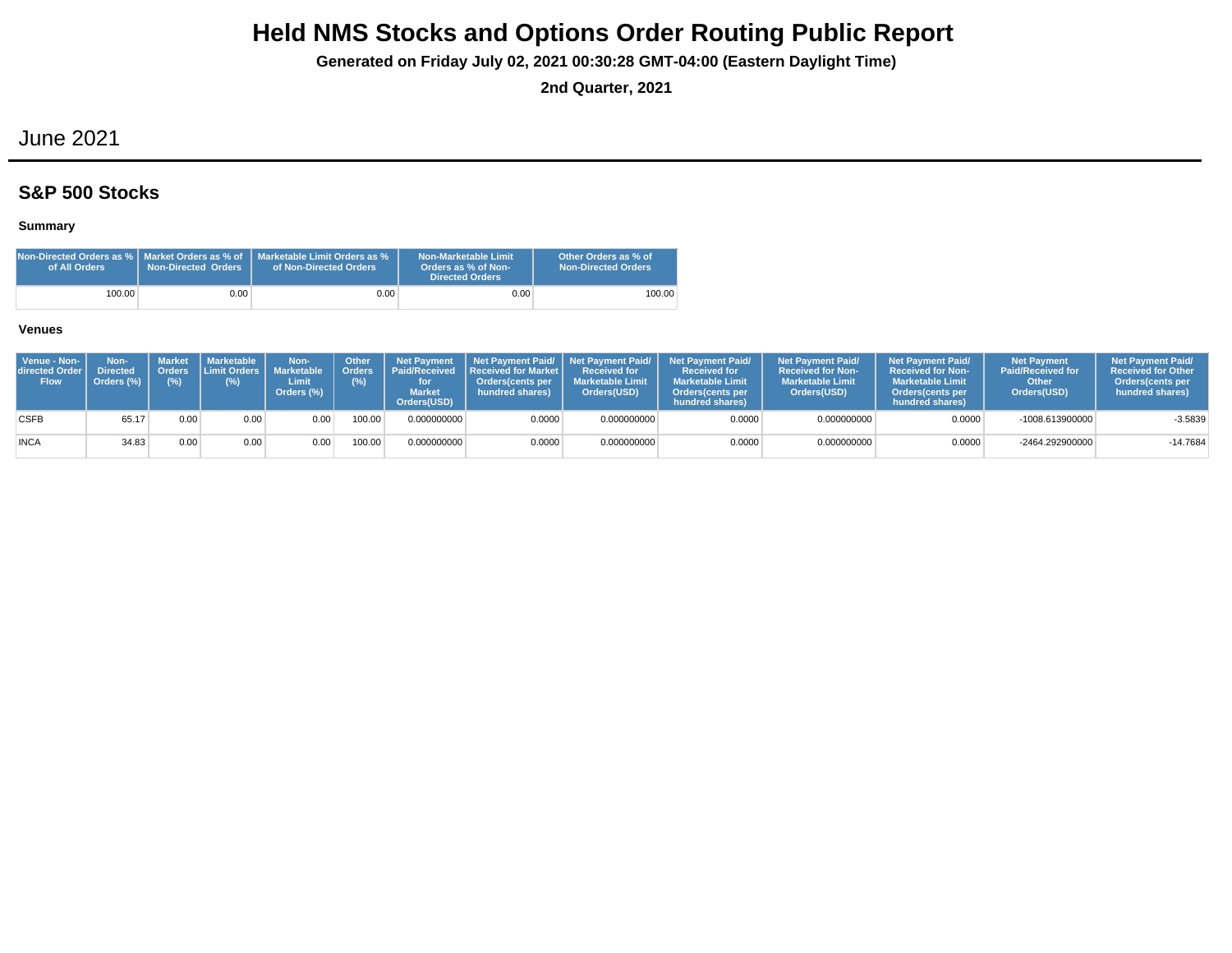**Generated on Friday July 02, 2021 00:30:28 GMT-04:00 (Eastern Daylight Time)**

**2nd Quarter, 2021**

## June 2021

## **S&P 500 Stocks**

### **Summary**

| Non-Directed Orders as %   Market Orders as % of $\,$ '<br>of All Orders | <b>Non-Directed Orders</b> | Marketable Limit Orders as %<br>of Non-Directed Orders | Non-Marketable Limit<br>Orders as % of Non-<br><b>Directed Orders</b> | Other Orders as % of<br>Non-Directed Orders |
|--------------------------------------------------------------------------|----------------------------|--------------------------------------------------------|-----------------------------------------------------------------------|---------------------------------------------|
| 100.00                                                                   | 0.00 <sub>1</sub>          | 0.00 <sub>1</sub>                                      | 0.00                                                                  | 100.00                                      |

| Venue - Non-<br>directed Order<br><b>Flow</b> | Non-<br><b>Directed</b><br>Orders (%) | <b>Market</b><br>(%) | <b>I</b> Marketable I<br>Orders Limit Orders I<br>(%) | Non-<br><b>Marketable</b><br>Limit<br>Orders (%) | Other<br>(%) | <b>Net Payment</b><br>Orders   Paid/Received<br><b>Market</b><br>Orders(USD) | <b>Received for Market L</b><br>Orders(cents per<br>hundred shares) | Received for<br><b>Marketable Limit</b><br>Orders(USD) | Net Payment Paid/ Net Payment Paid/ Net Payment Paid/<br><b>Received for</b><br><b>Marketable Limit</b><br><b>Orders</b> (cents per<br>hundred shares) | <b>Net Payment Paid/</b><br><b>Received for Non-</b><br><b>Marketable Limit</b><br>Orders(USD) | <b>Net Payment Paid/</b><br><b>Received for Non-</b><br><b>Marketable Limit</b><br><b>Orders</b> (cents per<br>hundred shares) | <b>Net Payment</b><br><b>Paid/Received for</b><br>Other<br>Orders(USD) | <b>Net Payment Paid/</b><br><b>Received for Other</b><br><b>Orders</b> (cents per<br>hundred shares) |
|-----------------------------------------------|---------------------------------------|----------------------|-------------------------------------------------------|--------------------------------------------------|--------------|------------------------------------------------------------------------------|---------------------------------------------------------------------|--------------------------------------------------------|--------------------------------------------------------------------------------------------------------------------------------------------------------|------------------------------------------------------------------------------------------------|--------------------------------------------------------------------------------------------------------------------------------|------------------------------------------------------------------------|------------------------------------------------------------------------------------------------------|
| <b>CSFB</b>                                   | 65.17                                 | 0.00                 | 0.00                                                  | 0.00                                             | 100.00       | 0.000000000                                                                  | 0.0000                                                              | 0.000000000                                            | 0.0000                                                                                                                                                 | 0.000000000                                                                                    | 0.0000                                                                                                                         | -1008.613900000                                                        | $-3.5839$                                                                                            |
| <b>INCA</b>                                   | 34.83                                 | 0.00                 | 0.00                                                  | 0.00                                             | 100.00       | 0.000000000                                                                  | 0.0000                                                              | 0.000000000                                            | 0.0000                                                                                                                                                 | 0.000000000                                                                                    | 0.0000                                                                                                                         | -2464.292900000                                                        | $-14.7684$                                                                                           |